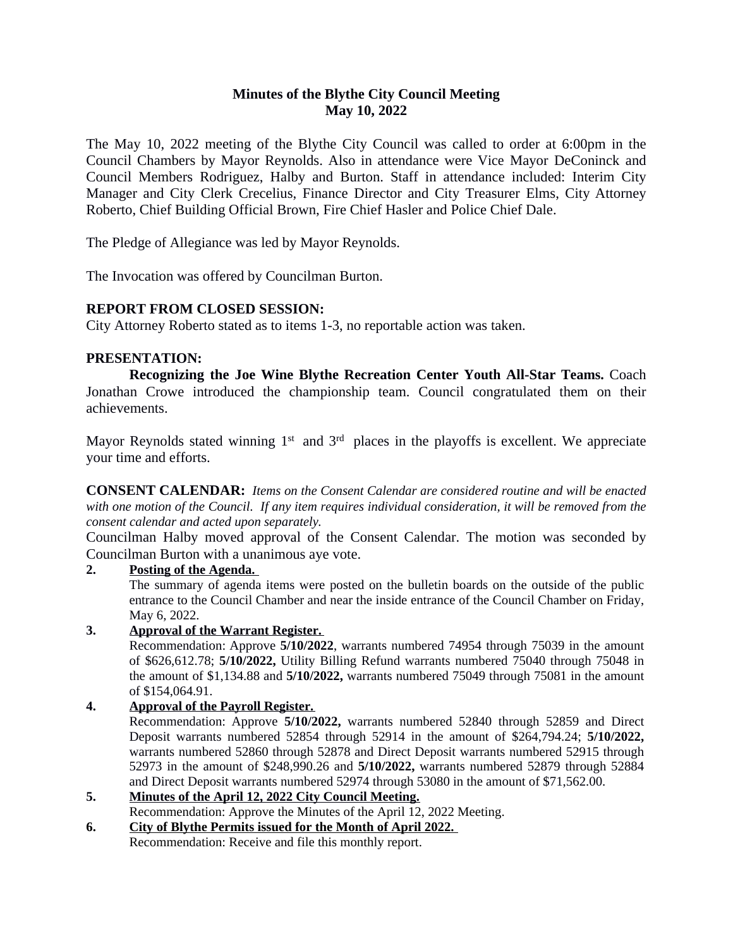# **Minutes of the Blythe City Council Meeting May 10, 2022**

The May 10, 2022 meeting of the Blythe City Council was called to order at 6:00pm in the Council Chambers by Mayor Reynolds. Also in attendance were Vice Mayor DeConinck and Council Members Rodriguez, Halby and Burton. Staff in attendance included: Interim City Manager and City Clerk Crecelius, Finance Director and City Treasurer Elms, City Attorney Roberto, Chief Building Official Brown, Fire Chief Hasler and Police Chief Dale.

The Pledge of Allegiance was led by Mayor Reynolds.

The Invocation was offered by Councilman Burton.

# **REPORT FROM CLOSED SESSION:**

City Attorney Roberto stated as to items 1-3, no reportable action was taken.

# **PRESENTATION:**

**Recognizing the Joe Wine Blythe Recreation Center Youth All-Star Teams.** Coach Jonathan Crowe introduced the championship team. Council congratulated them on their achievements.

Mayor Reynolds stated winning 1<sup>st</sup> and 3<sup>rd</sup> places in the playoffs is excellent. We appreciate your time and efforts.

**CONSENT CALENDAR:** *Items on the Consent Calendar are considered routine and will be enacted* with one motion of the Council. If any item requires individual consideration, it will be removed from the *consent calendar and acted upon separately.*

Councilman Halby moved approval of the Consent Calendar. The motion was seconded by Councilman Burton with a unanimous aye vote.

# **2. Posting of the Agenda.**

The summary of agenda items were posted on the bulletin boards on the outside of the public entrance to the Council Chamber and near the inside entrance of the Council Chamber on Friday, May 6, 2022.

# **3. Approval of the Warrant Register.**

Recommendation: Approve **5/10/2022**, warrants numbered 74954 through 75039 in the amount of \$626,612.78; **5/10/2022,** Utility Billing Refund warrants numbered 75040 through 75048 in the amount of \$1,134.88 and **5/10/2022,** warrants numbered 75049 through 75081 in the amount of \$154,064.91.

# **4. Approval of the Payroll Register.**

Recommendation: Approve **5/10/2022,** warrants numbered 52840 through 52859 and Direct Deposit warrants numbered 52854 through 52914 in the amount of \$264,794.24; **5/10/2022,** warrants numbered 52860 through 52878 and Direct Deposit warrants numbered 52915 through 52973 in the amount of \$248,990.26 and **5/10/2022,** warrants numbered 52879 through 52884 and Direct Deposit warrants numbered 52974 through 53080 in the amount of \$71,562.00.

- **5. Minutes of the April 12, 2022 City Council Meeting.** Recommendation: Approve the Minutes of the April 12, 2022 Meeting.
- **6. City of Blythe Permits issued for the Month of April 2022.**  Recommendation: Receive and file this monthly report.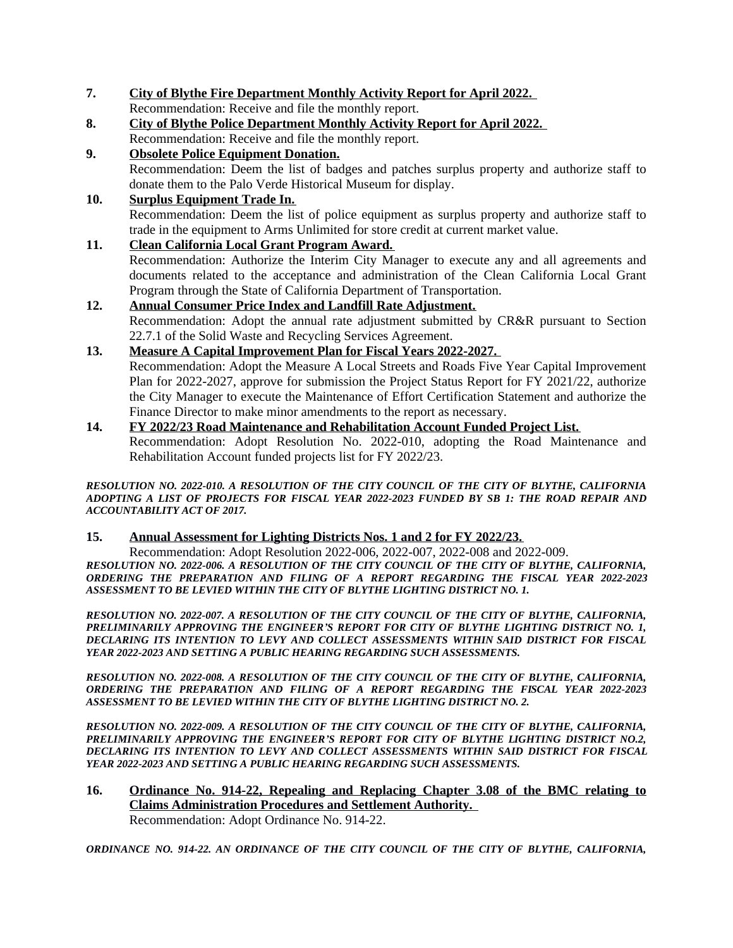**7. City of Blythe Fire Department Monthly Activity Report for April 2022.** 

Recommendation: Receive and file the monthly report.

- **8. City of Blythe Police Department Monthly Activity Report for April 2022.**  Recommendation: Receive and file the monthly report.
- **9. Obsolete Police Equipment Donation.**

Recommendation: Deem the list of badges and patches surplus property and authorize staff to donate them to the Palo Verde Historical Museum for display.

#### **10. Surplus Equipment Trade In.**

Recommendation: Deem the list of police equipment as surplus property and authorize staff to trade in the equipment to Arms Unlimited for store credit at current market value.

#### **11. Clean California Local Grant Program Award.**

Recommendation: Authorize the Interim City Manager to execute any and all agreements and documents related to the acceptance and administration of the Clean California Local Grant Program through the State of California Department of Transportation.

# **12. Annual Consumer Price Index and Landfill Rate Adjustment.** Recommendation: Adopt the annual rate adjustment submitted by CR&R pursuant to Section 22.7.1 of the Solid Waste and Recycling Services Agreement.

#### **13. Measure A Capital Improvement Plan for Fiscal Years 2022-2027.**

Recommendation: Adopt the Measure A Local Streets and Roads Five Year Capital Improvement Plan for 2022-2027, approve for submission the Project Status Report for FY 2021/22, authorize the City Manager to execute the Maintenance of Effort Certification Statement and authorize the Finance Director to make minor amendments to the report as necessary.

# **14. FY 2022/23 Road Maintenance and Rehabilitation Account Funded Project List.**

Recommendation: Adopt Resolution No. 2022-010, adopting the Road Maintenance and Rehabilitation Account funded projects list for FY 2022/23.

*RESOLUTION NO. 2022-010. A RESOLUTION OF THE CITY COUNCIL OF THE CITY OF BLYTHE, CALIFORNIA ADOPTING A LIST OF PROJECTS FOR FISCAL YEAR 2022-2023 FUNDED BY SB 1: THE ROAD REPAIR AND ACCOUNTABILITY ACT OF 2017.* 

# **15. Annual Assessment for Lighting Districts Nos. 1 and 2 for FY 2022/23.**

Recommendation: Adopt Resolution 2022-006, 2022-007, 2022-008 and 2022-009.

*RESOLUTION NO. 2022-006. A RESOLUTION OF THE CITY COUNCIL OF THE CITY OF BLYTHE, CALIFORNIA, ORDERING THE PREPARATION AND FILING OF A REPORT REGARDING THE FISCAL YEAR 2022-2023 ASSESSMENT TO BE LEVIED WITHIN THE CITY OF BLYTHE LIGHTING DISTRICT NO. 1.*

*RESOLUTION NO. 2022-007. A RESOLUTION OF THE CITY COUNCIL OF THE CITY OF BLYTHE, CALIFORNIA, PRELIMINARILY APPROVING THE ENGINEER'S REPORT FOR CITY OF BLYTHE LIGHTING DISTRICT NO. 1, DECLARING ITS INTENTION TO LEVY AND COLLECT ASSESSMENTS WITHIN SAID DISTRICT FOR FISCAL YEAR 2022-2023 AND SETTING A PUBLIC HEARING REGARDING SUCH ASSESSMENTS.* 

*RESOLUTION NO. 2022-008. A RESOLUTION OF THE CITY COUNCIL OF THE CITY OF BLYTHE, CALIFORNIA, ORDERING THE PREPARATION AND FILING OF A REPORT REGARDING THE FISCAL YEAR 2022-2023 ASSESSMENT TO BE LEVIED WITHIN THE CITY OF BLYTHE LIGHTING DISTRICT NO. 2.* 

*RESOLUTION NO. 2022-009. A RESOLUTION OF THE CITY COUNCIL OF THE CITY OF BLYTHE, CALIFORNIA, PRELIMINARILY APPROVING THE ENGINEER'S REPORT FOR CITY OF BLYTHE LIGHTING DISTRICT NO.2, DECLARING ITS INTENTION TO LEVY AND COLLECT ASSESSMENTS WITHIN SAID DISTRICT FOR FISCAL YEAR 2022-2023 AND SETTING A PUBLIC HEARING REGARDING SUCH ASSESSMENTS.*

#### **16. Ordinance No. 914-22, Repealing and Replacing Chapter 3.08 of the BMC relating to Claims Administration Procedures and Settlement Authority.**  Recommendation: Adopt Ordinance No. 914-22.

*ORDINANCE NO. 914-22. AN ORDINANCE OF THE CITY COUNCIL OF THE CITY OF BLYTHE, CALIFORNIA,*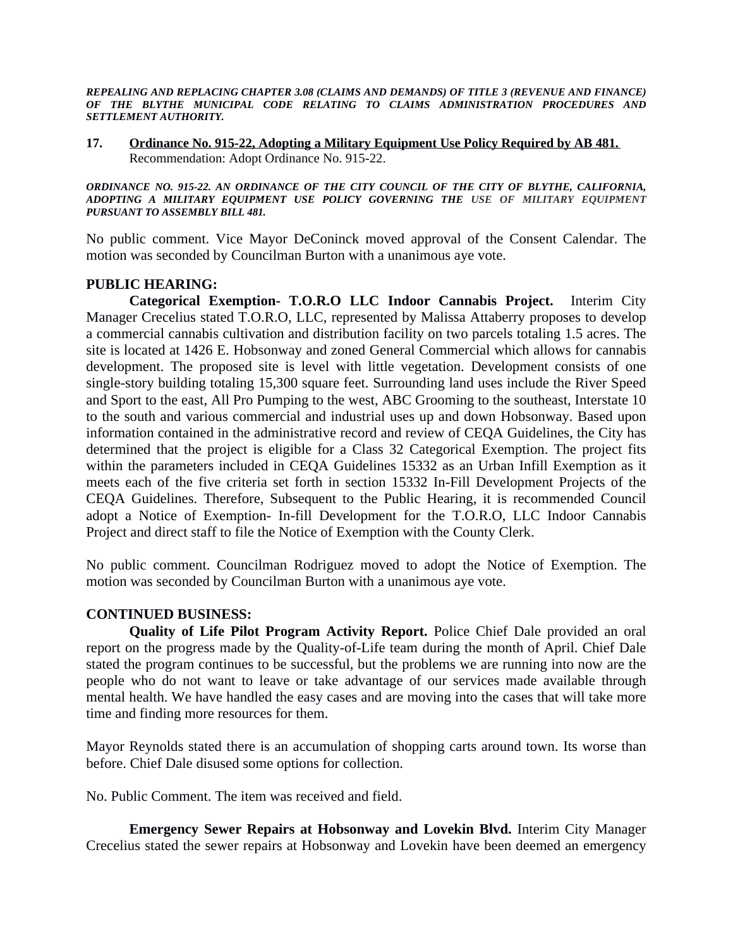*REPEALING AND REPLACING CHAPTER 3.08 (CLAIMS AND DEMANDS) OF TITLE 3 (REVENUE AND FINANCE) OF THE BLYTHE MUNICIPAL CODE RELATING TO CLAIMS ADMINISTRATION PROCEDURES AND SETTLEMENT AUTHORITY.*

**17. Ordinance No. 915-22, Adopting a Military Equipment Use Policy Required by AB 481.** Recommendation: Adopt Ordinance No. 915-22.

*ORDINANCE NO. 915-22. AN ORDINANCE OF THE CITY COUNCIL OF THE CITY OF BLYTHE, CALIFORNIA, ADOPTING A MILITARY EQUIPMENT USE POLICY GOVERNING THE USE OF MILITARY EQUIPMENT PURSUANT TO ASSEMBLY BILL 481.*

No public comment. Vice Mayor DeConinck moved approval of the Consent Calendar. The motion was seconded by Councilman Burton with a unanimous aye vote.

# **PUBLIC HEARING:**

**Categorical Exemption- T.O.R.O LLC Indoor Cannabis Project.** Interim City Manager Crecelius stated T.O.R.O, LLC, represented by Malissa Attaberry proposes to develop a commercial cannabis cultivation and distribution facility on two parcels totaling 1.5 acres. The site is located at 1426 E. Hobsonway and zoned General Commercial which allows for cannabis development. The proposed site is level with little vegetation. Development consists of one single-story building totaling 15,300 square feet. Surrounding land uses include the River Speed and Sport to the east, All Pro Pumping to the west, ABC Grooming to the southeast, Interstate 10 to the south and various commercial and industrial uses up and down Hobsonway. Based upon information contained in the administrative record and review of CEQA Guidelines, the City has determined that the project is eligible for a Class 32 Categorical Exemption. The project fits within the parameters included in CEQA Guidelines 15332 as an Urban Infill Exemption as it meets each of the five criteria set forth in section 15332 In-Fill Development Projects of the CEQA Guidelines. Therefore, Subsequent to the Public Hearing, it is recommended Council adopt a Notice of Exemption- In-fill Development for the T.O.R.O, LLC Indoor Cannabis Project and direct staff to file the Notice of Exemption with the County Clerk.

No public comment. Councilman Rodriguez moved to adopt the Notice of Exemption. The motion was seconded by Councilman Burton with a unanimous aye vote.

# **CONTINUED BUSINESS:**

**Quality of Life Pilot Program Activity Report.** Police Chief Dale provided an oral report on the progress made by the Quality-of-Life team during the month of April. Chief Dale stated the program continues to be successful, but the problems we are running into now are the people who do not want to leave or take advantage of our services made available through mental health. We have handled the easy cases and are moving into the cases that will take more time and finding more resources for them.

Mayor Reynolds stated there is an accumulation of shopping carts around town. Its worse than before. Chief Dale disused some options for collection.

No. Public Comment. The item was received and field.

**Emergency Sewer Repairs at Hobsonway and Lovekin Blvd.** Interim City Manager Crecelius stated the sewer repairs at Hobsonway and Lovekin have been deemed an emergency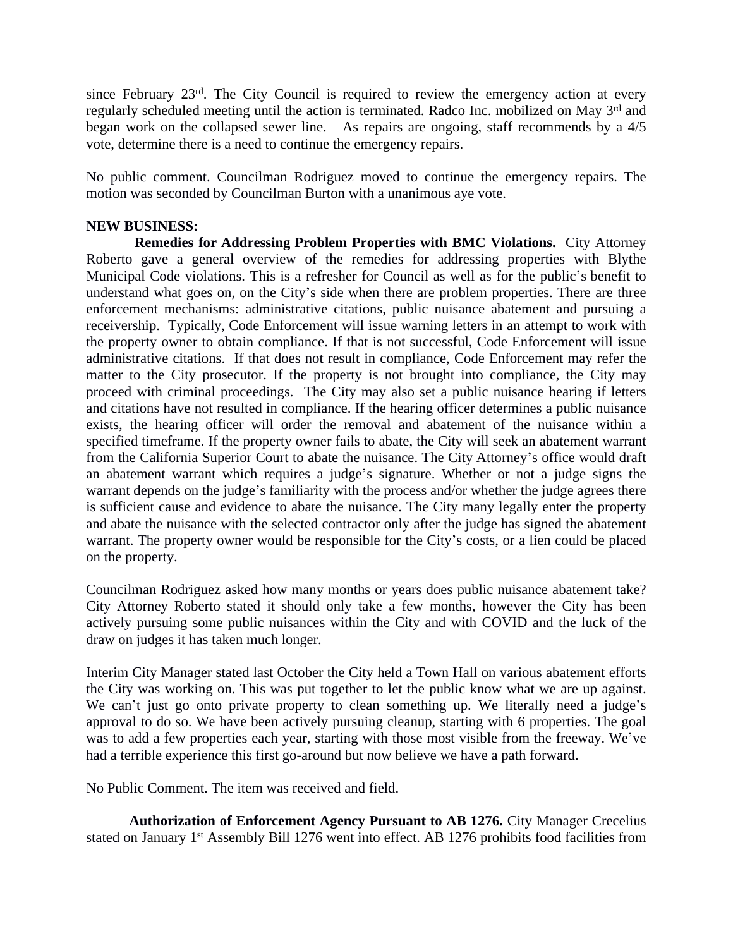since February 23rd. The City Council is required to review the emergency action at every regularly scheduled meeting until the action is terminated. Radco Inc. mobilized on May 3<sup>rd</sup> and began work on the collapsed sewer line. As repairs are ongoing, staff recommends by a 4/5 vote, determine there is a need to continue the emergency repairs.

No public comment. Councilman Rodriguez moved to continue the emergency repairs. The motion was seconded by Councilman Burton with a unanimous aye vote.

#### **NEW BUSINESS:**

**Remedies for Addressing Problem Properties with BMC Violations.** City Attorney Roberto gave a general overview of the remedies for addressing properties with Blythe Municipal Code violations. This is a refresher for Council as well as for the public's benefit to understand what goes on, on the City's side when there are problem properties. There are three enforcement mechanisms: administrative citations, public nuisance abatement and pursuing a receivership. Typically, Code Enforcement will issue warning letters in an attempt to work with the property owner to obtain compliance. If that is not successful, Code Enforcement will issue administrative citations. If that does not result in compliance, Code Enforcement may refer the matter to the City prosecutor. If the property is not brought into compliance, the City may proceed with criminal proceedings. The City may also set a public nuisance hearing if letters and citations have not resulted in compliance. If the hearing officer determines a public nuisance exists, the hearing officer will order the removal and abatement of the nuisance within a specified timeframe. If the property owner fails to abate, the City will seek an abatement warrant from the California Superior Court to abate the nuisance. The City Attorney's office would draft an abatement warrant which requires a judge's signature. Whether or not a judge signs the warrant depends on the judge's familiarity with the process and/or whether the judge agrees there is sufficient cause and evidence to abate the nuisance. The City many legally enter the property and abate the nuisance with the selected contractor only after the judge has signed the abatement warrant. The property owner would be responsible for the City's costs, or a lien could be placed on the property.

Councilman Rodriguez asked how many months or years does public nuisance abatement take? City Attorney Roberto stated it should only take a few months, however the City has been actively pursuing some public nuisances within the City and with COVID and the luck of the draw on judges it has taken much longer.

Interim City Manager stated last October the City held a Town Hall on various abatement efforts the City was working on. This was put together to let the public know what we are up against. We can't just go onto private property to clean something up. We literally need a judge's approval to do so. We have been actively pursuing cleanup, starting with 6 properties. The goal was to add a few properties each year, starting with those most visible from the freeway. We've had a terrible experience this first go-around but now believe we have a path forward.

No Public Comment. The item was received and field.

**Authorization of Enforcement Agency Pursuant to AB 1276.** City Manager Crecelius stated on January 1<sup>st</sup> Assembly Bill 1276 went into effect. AB 1276 prohibits food facilities from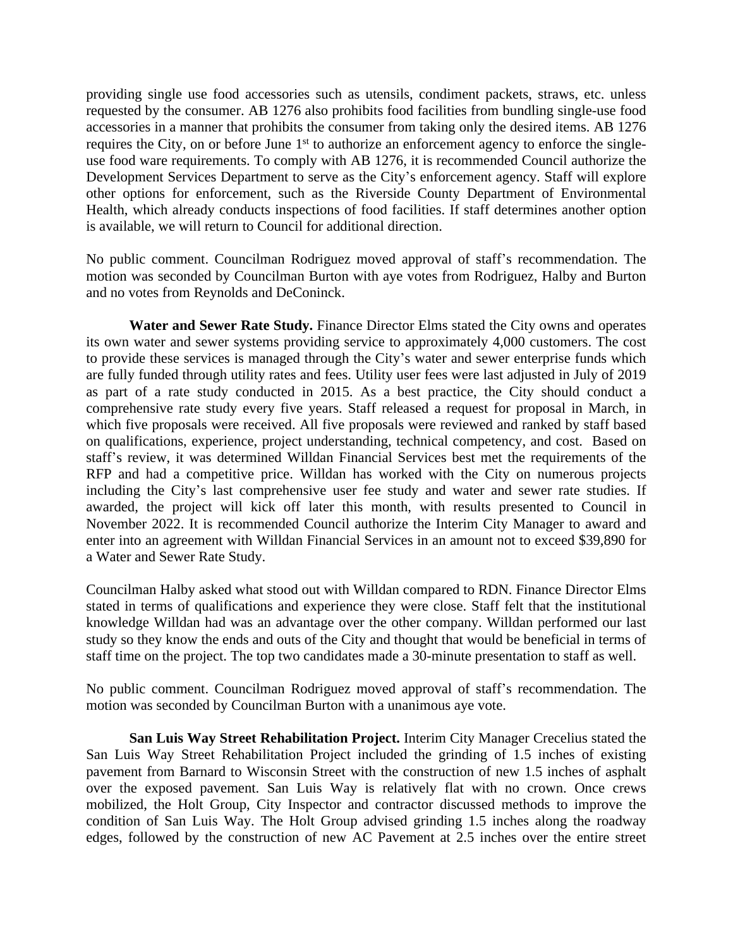providing single use food accessories such as utensils, condiment packets, straws, etc. unless requested by the consumer. AB 1276 also prohibits food facilities from bundling single-use food accessories in a manner that prohibits the consumer from taking only the desired items. AB 1276 requires the City, on or before June 1<sup>st</sup> to authorize an enforcement agency to enforce the singleuse food ware requirements. To comply with AB 1276, it is recommended Council authorize the Development Services Department to serve as the City's enforcement agency. Staff will explore other options for enforcement, such as the Riverside County Department of Environmental Health, which already conducts inspections of food facilities. If staff determines another option is available, we will return to Council for additional direction.

No public comment. Councilman Rodriguez moved approval of staff's recommendation. The motion was seconded by Councilman Burton with aye votes from Rodriguez, Halby and Burton and no votes from Reynolds and DeConinck.

**Water and Sewer Rate Study.** Finance Director Elms stated the City owns and operates its own water and sewer systems providing service to approximately 4,000 customers. The cost to provide these services is managed through the City's water and sewer enterprise funds which are fully funded through utility rates and fees. Utility user fees were last adjusted in July of 2019 as part of a rate study conducted in 2015. As a best practice, the City should conduct a comprehensive rate study every five years. Staff released a request for proposal in March, in which five proposals were received. All five proposals were reviewed and ranked by staff based on qualifications, experience, project understanding, technical competency, and cost. Based on staff's review, it was determined Willdan Financial Services best met the requirements of the RFP and had a competitive price. Willdan has worked with the City on numerous projects including the City's last comprehensive user fee study and water and sewer rate studies. If awarded, the project will kick off later this month, with results presented to Council in November 2022. It is recommended Council authorize the Interim City Manager to award and enter into an agreement with Willdan Financial Services in an amount not to exceed \$39,890 for a Water and Sewer Rate Study.

Councilman Halby asked what stood out with Willdan compared to RDN. Finance Director Elms stated in terms of qualifications and experience they were close. Staff felt that the institutional knowledge Willdan had was an advantage over the other company. Willdan performed our last study so they know the ends and outs of the City and thought that would be beneficial in terms of staff time on the project. The top two candidates made a 30-minute presentation to staff as well.

No public comment. Councilman Rodriguez moved approval of staff's recommendation. The motion was seconded by Councilman Burton with a unanimous aye vote.

**San Luis Way Street Rehabilitation Project.** Interim City Manager Crecelius stated the San Luis Way Street Rehabilitation Project included the grinding of 1.5 inches of existing pavement from Barnard to Wisconsin Street with the construction of new 1.5 inches of asphalt over the exposed pavement. San Luis Way is relatively flat with no crown. Once crews mobilized, the Holt Group, City Inspector and contractor discussed methods to improve the condition of San Luis Way. The Holt Group advised grinding 1.5 inches along the roadway edges, followed by the construction of new AC Pavement at 2.5 inches over the entire street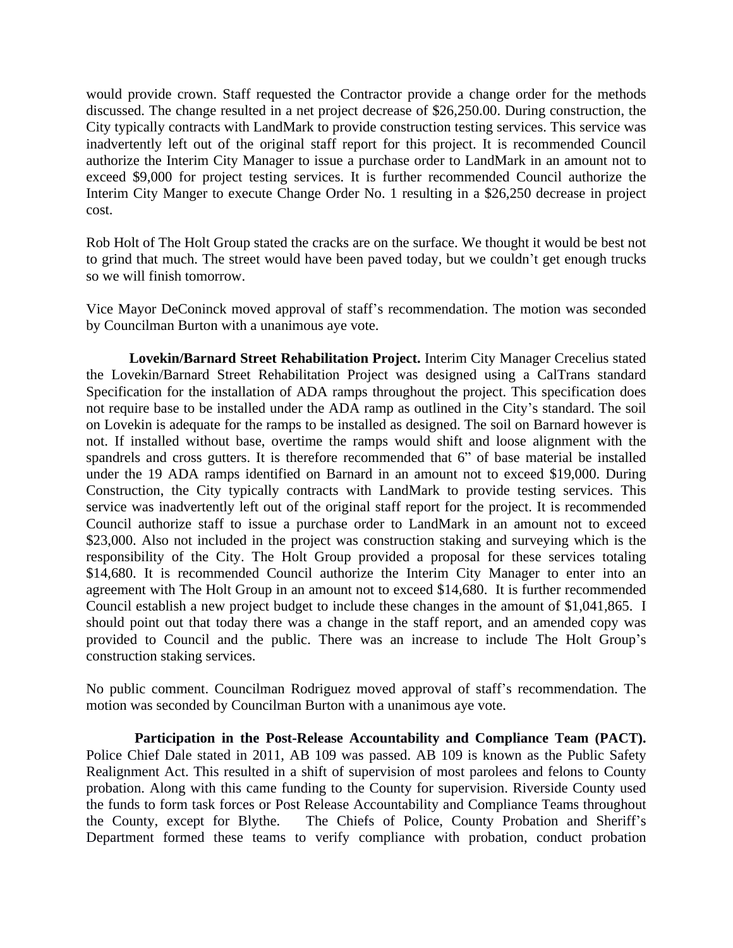would provide crown. Staff requested the Contractor provide a change order for the methods discussed. The change resulted in a net project decrease of \$26,250.00. During construction, the City typically contracts with LandMark to provide construction testing services. This service was inadvertently left out of the original staff report for this project. It is recommended Council authorize the Interim City Manager to issue a purchase order to LandMark in an amount not to exceed \$9,000 for project testing services. It is further recommended Council authorize the Interim City Manger to execute Change Order No. 1 resulting in a \$26,250 decrease in project cost.

Rob Holt of The Holt Group stated the cracks are on the surface. We thought it would be best not to grind that much. The street would have been paved today, but we couldn't get enough trucks so we will finish tomorrow.

Vice Mayor DeConinck moved approval of staff's recommendation. The motion was seconded by Councilman Burton with a unanimous aye vote.

**Lovekin/Barnard Street Rehabilitation Project.** Interim City Manager Crecelius stated the Lovekin/Barnard Street Rehabilitation Project was designed using a CalTrans standard Specification for the installation of ADA ramps throughout the project. This specification does not require base to be installed under the ADA ramp as outlined in the City's standard. The soil on Lovekin is adequate for the ramps to be installed as designed. The soil on Barnard however is not. If installed without base, overtime the ramps would shift and loose alignment with the spandrels and cross gutters. It is therefore recommended that 6" of base material be installed under the 19 ADA ramps identified on Barnard in an amount not to exceed \$19,000. During Construction, the City typically contracts with LandMark to provide testing services. This service was inadvertently left out of the original staff report for the project. It is recommended Council authorize staff to issue a purchase order to LandMark in an amount not to exceed \$23,000. Also not included in the project was construction staking and surveying which is the responsibility of the City. The Holt Group provided a proposal for these services totaling \$14,680. It is recommended Council authorize the Interim City Manager to enter into an agreement with The Holt Group in an amount not to exceed \$14,680. It is further recommended Council establish a new project budget to include these changes in the amount of \$1,041,865. I should point out that today there was a change in the staff report, and an amended copy was provided to Council and the public. There was an increase to include The Holt Group's construction staking services.

No public comment. Councilman Rodriguez moved approval of staff's recommendation. The motion was seconded by Councilman Burton with a unanimous aye vote.

**Participation in the Post-Release Accountability and Compliance Team (PACT).** Police Chief Dale stated in 2011, AB 109 was passed. AB 109 is known as the Public Safety Realignment Act. This resulted in a shift of supervision of most parolees and felons to County probation. Along with this came funding to the County for supervision. Riverside County used the funds to form task forces or Post Release Accountability and Compliance Teams throughout the County, except for Blythe. The Chiefs of Police, County Probation and Sheriff's Department formed these teams to verify compliance with probation, conduct probation